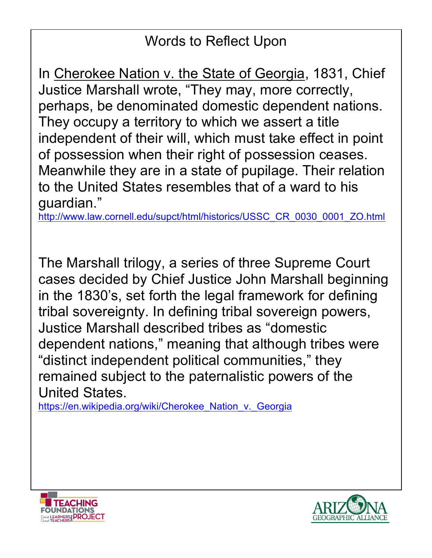# Words to Reflect Upon

In Cherokee Nation v. the State of Georgia, 1831, Chief Justice Marshall wrote, "They may, more correctly, perhaps, be denominated domestic dependent nations. They occupy a territory to which we assert a title independent of their will, which must take effect in point of possession when their right of possession ceases. Meanwhile they are in a state of pupilage. Their relation to the United States resembles that of a ward to his guardian."

http://www.law.cornell.edu/supct/html/historics/USSC\_CR\_0030\_0001\_ZO.html

The Marshall trilogy, a series of three Supreme Court cases decided by Chief Justice John Marshall beginning in the 1830's, set forth the legal framework for defining tribal sovereignty. In defining tribal sovereign powers, Justice Marshall described tribes as "domestic dependent nations," meaning that although tribes were "distinct independent political communities," they remained subject to the paternalistic powers of the United States.

https://en.wikipedia.org/wiki/Cherokee\_Nation\_v.\_Georgia



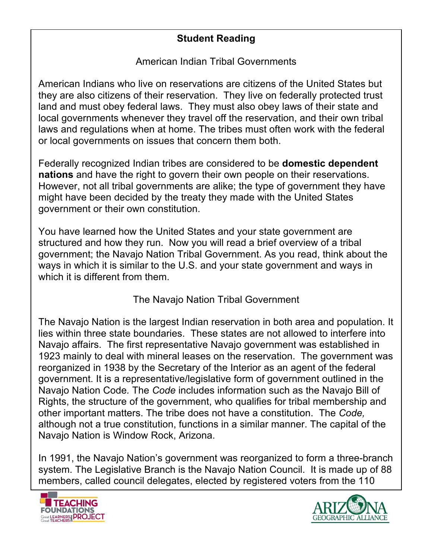# **Student Reading**

American Indian Tribal Governments

American Indians who live on reservations are citizens of the United States but they are also citizens of their reservation. They live on federally protected trust land and must obey federal laws. They must also obey laws of their state and local governments whenever they travel off the reservation, and their own tribal laws and regulations when at home. The tribes must often work with the federal or local governments on issues that concern them both.

Federally recognized Indian tribes are considered to be **domestic dependent nations** and have the right to govern their own people on their reservations. However, not all tribal governments are alike; the type of government they have might have been decided by the treaty they made with the United States government or their own constitution.

You have learned how the United States and your state government are structured and how they run. Now you will read a brief overview of a tribal government; the Navajo Nation Tribal Government. As you read, think about the ways in which it is similar to the U.S. and your state government and ways in which it is different from them.

# The Navajo Nation Tribal Government

The Navajo Nation is the largest Indian reservation in both area and population. It lies within three state boundaries. These states are not allowed to interfere into Navajo affairs. The first representative Navajo government was established in 1923 mainly to deal with mineral leases on the reservation. The government was reorganized in 1938 by the Secretary of the Interior as an agent of the federal government. It is a representative/legislative form of government outlined in the Navajo Nation Code*.* The *Code* includes information such as the Navajo Bill of Rights, the structure of the government, who qualifies for tribal membership and other important matters. The tribe does not have a constitution. The *Code,*  although not a true constitution, functions in a similar manner. The capital of the Navajo Nation is Window Rock, Arizona.

In 1991, the Navajo Nation's government was reorganized to form a three-branch system. The Legislative Branch is the Navajo Nation Council. It is made up of 88 members, called council delegates, elected by registered voters from the 110



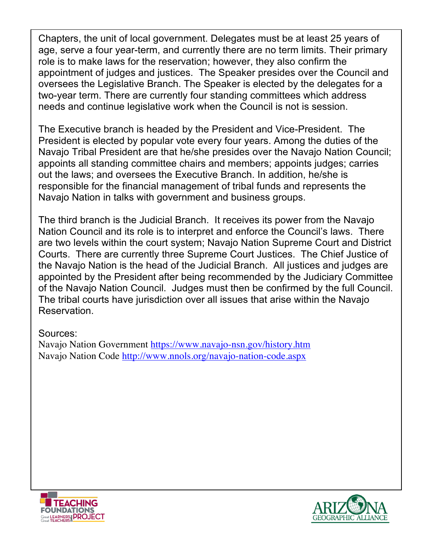Chapters, the unit of local government. Delegates must be at least 25 years of age, serve a four year-term, and currently there are no term limits. Their primary role is to make laws for the reservation; however, they also confirm the appointment of judges and justices. The Speaker presides over the Council and oversees the Legislative Branch. The Speaker is elected by the delegates for a two-year term. There are currently four standing committees which address needs and continue legislative work when the Council is not is session.

The Executive branch is headed by the President and Vice-President. The President is elected by popular vote every four years. Among the duties of the Navajo Tribal President are that he/she presides over the Navajo Nation Council; appoints all standing committee chairs and members; appoints judges; carries out the laws; and oversees the Executive Branch. In addition, he/she is responsible for the financial management of tribal funds and represents the Navajo Nation in talks with government and business groups.

The third branch is the Judicial Branch. It receives its power from the Navajo Nation Council and its role is to interpret and enforce the Council's laws. There are two levels within the court system; Navajo Nation Supreme Court and District Courts. There are currently three Supreme Court Justices. The Chief Justice of the Navajo Nation is the head of the Judicial Branch. All justices and judges are appointed by the President after being recommended by the Judiciary Committee of the Navajo Nation Council. Judges must then be confirmed by the full Council. The tribal courts have jurisdiction over all issues that arise within the Navajo Reservation.

#### Sources:

Navajo Nation Government https://www.navajo-nsn.gov/history.htm Navajo Nation Code http://www.nnols.org/navajo-nation-code.aspx



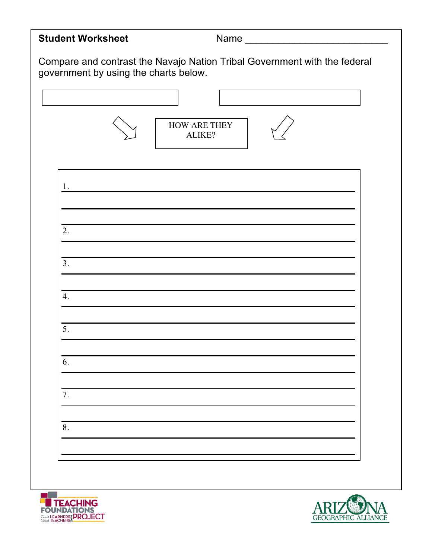| <b>Student Worksheet</b>                                                                                           |                                                                 |
|--------------------------------------------------------------------------------------------------------------------|-----------------------------------------------------------------|
| Compare and contrast the Navajo Nation Tribal Government with the federal<br>government by using the charts below. |                                                                 |
|                                                                                                                    |                                                                 |
|                                                                                                                    | HOW ARE THEY<br>ALIKE?                                          |
| 1.                                                                                                                 | <u> 1980 - Johann Barn, mars an t-Amerikaansk kommunister (</u> |
| 2.                                                                                                                 |                                                                 |
| 3.                                                                                                                 |                                                                 |
| 4.                                                                                                                 |                                                                 |
| 5.                                                                                                                 |                                                                 |
| 6.                                                                                                                 |                                                                 |
| 7.                                                                                                                 |                                                                 |
| 8.                                                                                                                 |                                                                 |
|                                                                                                                    |                                                                 |



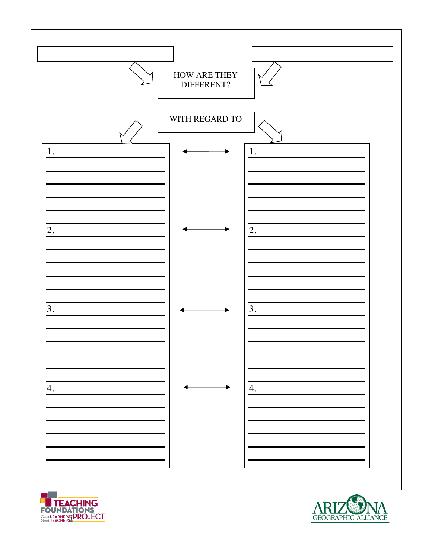



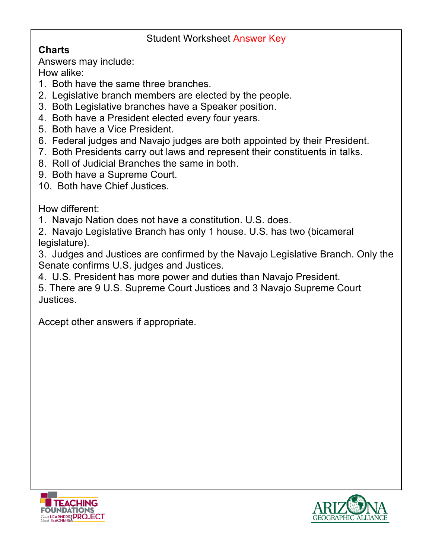### Student Worksheet Answer Key

# **Charts**

Answers may include:

How alike:

- 1. Both have the same three branches.
- 2. Legislative branch members are elected by the people.
- 3. Both Legislative branches have a Speaker position.
- 4. Both have a President elected every four years.
- 5. Both have a Vice President.
- 6. Federal judges and Navajo judges are both appointed by their President.
- 7. Both Presidents carry out laws and represent their constituents in talks.
- 8. Roll of Judicial Branches the same in both.
- 9. Both have a Supreme Court.
- 10. Both have Chief Justices.

How different:

- 1. Navajo Nation does not have a constitution. U.S. does.
- 2. Navajo Legislative Branch has only 1 house. U.S. has two (bicameral legislature).

3. Judges and Justices are confirmed by the Navajo Legislative Branch. Only the Senate confirms U.S. judges and Justices.

- 4. U.S. President has more power and duties than Navajo President.
- 5. There are 9 U.S. Supreme Court Justices and 3 Navajo Supreme Court Justices.

Accept other answers if appropriate.